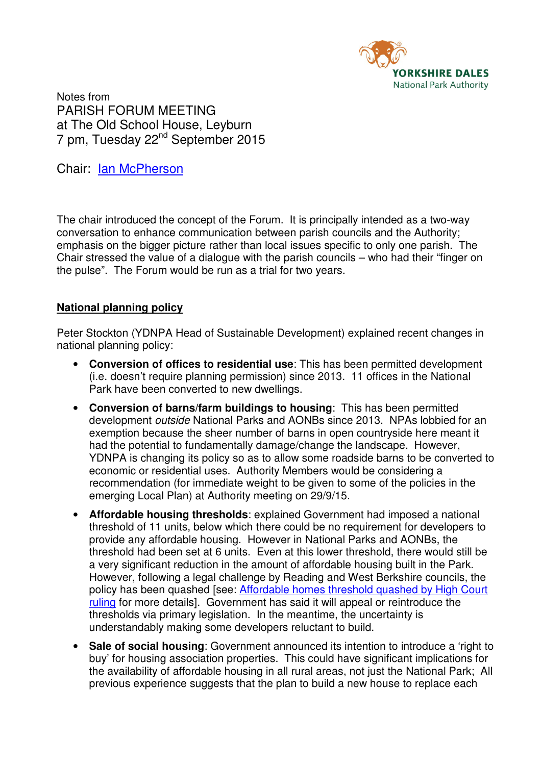

Notes from PARISH FORUM MEETING at The Old School House, Leyburn 7 pm, Tuesday 22nd September 2015

Chair: Ian McPherson

The chair introduced the concept of the Forum. It is principally intended as a two-way conversation to enhance communication between parish councils and the Authority; emphasis on the bigger picture rather than local issues specific to only one parish. The Chair stressed the value of a dialogue with the parish councils – who had their "finger on the pulse". The Forum would be run as a trial for two years.

## **National planning policy**

Peter Stockton (YDNPA Head of Sustainable Development) explained recent changes in national planning policy:

- **Conversion of offices to residential use**: This has been permitted development (i.e. doesn't require planning permission) since 2013. 11 offices in the National Park have been converted to new dwellings.
- **Conversion of barns/farm buildings to housing**: This has been permitted development outside National Parks and AONBs since 2013. NPAs lobbied for an exemption because the sheer number of barns in open countryside here meant it had the potential to fundamentally damage/change the landscape. However, YDNPA is changing its policy so as to allow some roadside barns to be converted to economic or residential uses. Authority Members would be considering a recommendation (for immediate weight to be given to some of the policies in the emerging Local Plan) at Authority meeting on 29/9/15.
- **Affordable housing thresholds**: explained Government had imposed a national threshold of 11 units, below which there could be no requirement for developers to provide any affordable housing. However in National Parks and AONBs, the threshold had been set at 6 units. Even at this lower threshold, there would still be a very significant reduction in the amount of affordable housing built in the Park. However, following a legal challenge by Reading and West Berkshire councils, the policy has been quashed [see: Affordable homes threshold quashed by High Court ruling for more details]. Government has said it will appeal or reintroduce the thresholds via primary legislation. In the meantime, the uncertainty is understandably making some developers reluctant to build.
- **Sale of social housing**: Government announced its intention to introduce a 'right to buy' for housing association properties. This could have significant implications for the availability of affordable housing in all rural areas, not just the National Park; All previous experience suggests that the plan to build a new house to replace each